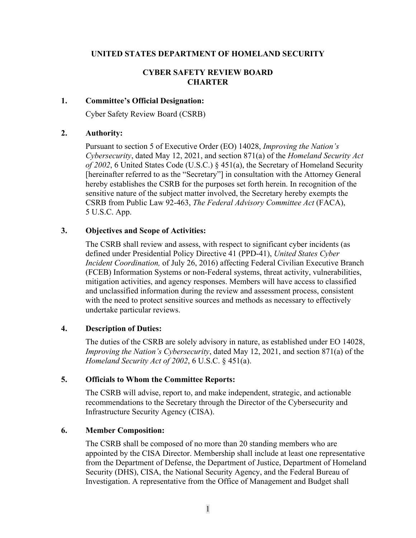## **UNITED STATES DEPARTMENT OF HOMELAND SECURITY**

### **CYBER SAFETY REVIEW BOARD CHARTER**

### **1. Committee's Official Designation:**

Cyber Safety Review Board (CSRB)

# **2. Authority:**

Pursuant to section 5 of Executive Order (EO) 14028, *Improving the Nation's Cybersecurity*, dated May 12, 2021, and section 871(a) of the *Homeland Security Act of 2002*, 6 United States Code (U.S.C.) § 451(a), the Secretary of Homeland Security [hereinafter referred to as the "Secretary"] in consultation with the Attorney General hereby establishes the CSRB for the purposes set forth herein. In recognition of the sensitive nature of the subject matter involved, the Secretary hereby exempts the CSRB from Public Law 92-463, *The Federal Advisory Committee Act* (FACA), 5 U.S.C. App.

# **3. Objectives and Scope of Activities:**

The CSRB shall review and assess, with respect to significant cyber incidents (as defined under Presidential Policy Directive 41 (PPD-41), *United States Cyber Incident Coordination,* of July 26, 2016) affecting Federal Civilian Executive Branch (FCEB) Information Systems or non-Federal systems, threat activity, vulnerabilities, mitigation activities, and agency responses. Members will have access to classified and unclassified information during the review and assessment process, consistent with the need to protect sensitive sources and methods as necessary to effectively undertake particular reviews.

### **4. Description of Duties:**

The duties of the CSRB are solely advisory in nature, as established under EO 14028, *Improving the Nation's Cybersecurity*, dated May 12, 2021, and section 871(a) of the *Homeland Security Act of 2002*, 6 U.S.C. § 451(a).

### **5. Officials to Whom the Committee Reports:**

The CSRB will advise, report to, and make independent, strategic, and actionable recommendations to the Secretary through the Director of the Cybersecurity and Infrastructure Security Agency (CISA).

## **6. Member Composition:**

The CSRB shall be composed of no more than 20 standing members who are appointed by the CISA Director. Membership shall include at least one representative from the Department of Defense, the Department of Justice, Department of Homeland Security (DHS), CISA, the National Security Agency, and the Federal Bureau of Investigation. A representative from the Office of Management and Budget shall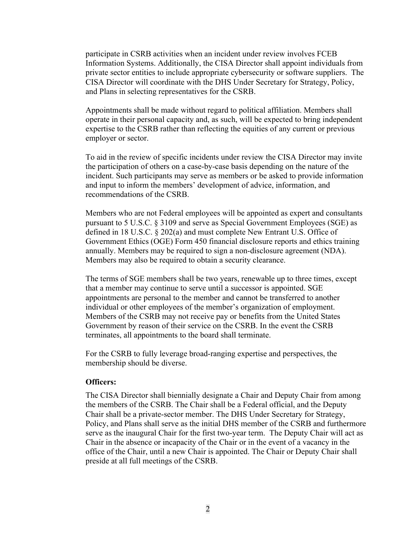participate in CSRB activities when an incident under review involves FCEB Information Systems. Additionally, the CISA Director shall appoint individuals from private sector entities to include appropriate cybersecurity or software suppliers. The CISA Director will coordinate with the DHS Under Secretary for Strategy, Policy, and Plans in selecting representatives for the CSRB.

Appointments shall be made without regard to political affiliation. Members shall operate in their personal capacity and, as such, will be expected to bring independent expertise to the CSRB rather than reflecting the equities of any current or previous employer or sector.

To aid in the review of specific incidents under review the CISA Director may invite the participation of others on a case-by-case basis depending on the nature of the incident. Such participants may serve as members or be asked to provide information and input to inform the members' development of advice, information, and recommendations of the CSRB.

Members who are not Federal employees will be appointed as expert and consultants pursuant to 5 U.S.C. § 3109 and serve as Special Government Employees (SGE) as defined in 18 U.S.C. § 202(a) and must complete New Entrant U.S. Office of Government Ethics (OGE) Form 450 financial disclosure reports and ethics training annually. Members may be required to sign a non-disclosure agreement (NDA). Members may also be required to obtain a security clearance.

The terms of SGE members shall be two years, renewable up to three times, except that a member may continue to serve until a successor is appointed. SGE appointments are personal to the member and cannot be transferred to another individual or other employees of the member's organization of employment. Members of the CSRB may not receive pay or benefits from the United States Government by reason of their service on the CSRB. In the event the CSRB terminates, all appointments to the board shall terminate.

For the CSRB to fully leverage broad-ranging expertise and perspectives, the membership should be diverse.

#### **Officers:**

The CISA Director shall biennially designate a Chair and Deputy Chair from among the members of the CSRB. The Chair shall be a Federal official, and the Deputy Chair shall be a private-sector member. The DHS Under Secretary for Strategy, Policy, and Plans shall serve as the initial DHS member of the CSRB and furthermore serve as the inaugural Chair for the first two-year term. The Deputy Chair will act as Chair in the absence or incapacity of the Chair or in the event of a vacancy in the office of the Chair, until a new Chair is appointed. The Chair or Deputy Chair shall preside at all full meetings of the CSRB.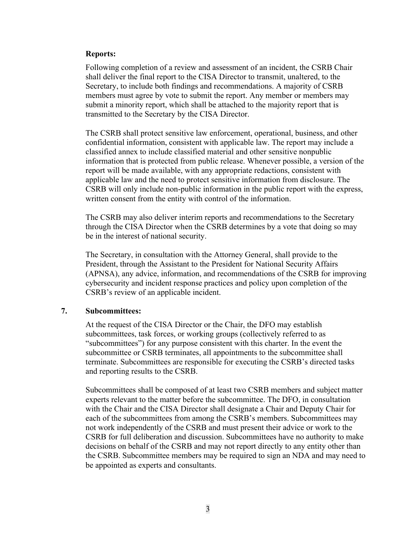#### **Reports:**

Following completion of a review and assessment of an incident, the CSRB Chair shall deliver the final report to the CISA Director to transmit, unaltered, to the Secretary, to include both findings and recommendations. A majority of CSRB members must agree by vote to submit the report. Any member or members may submit a minority report, which shall be attached to the majority report that is transmitted to the Secretary by the CISA Director.

The CSRB shall protect sensitive law enforcement, operational, business, and other confidential information, consistent with applicable law. The report may include a classified annex to include classified material and other sensitive nonpublic information that is protected from public release. Whenever possible, a version of the report will be made available, with any appropriate redactions, consistent with applicable law and the need to protect sensitive information from disclosure. The CSRB will only include non-public information in the public report with the express, written consent from the entity with control of the information.

The CSRB may also deliver interim reports and recommendations to the Secretary through the CISA Director when the CSRB determines by a vote that doing so may be in the interest of national security.

The Secretary, in consultation with the Attorney General, shall provide to the President, through the Assistant to the President for National Security Affairs (APNSA), any advice, information, and recommendations of the CSRB for improving cybersecurity and incident response practices and policy upon completion of the CSRB's review of an applicable incident.

### **7. Subcommittees:**

At the request of the CISA Director or the Chair, the DFO may establish subcommittees, task forces, or working groups (collectively referred to as "subcommittees") for any purpose consistent with this charter. In the event the subcommittee or CSRB terminates, all appointments to the subcommittee shall terminate. Subcommittees are responsible for executing the CSRB's directed tasks and reporting results to the CSRB.

Subcommittees shall be composed of at least two CSRB members and subject matter experts relevant to the matter before the subcommittee. The DFO, in consultation with the Chair and the CISA Director shall designate a Chair and Deputy Chair for each of the subcommittees from among the CSRB's members. Subcommittees may not work independently of the CSRB and must present their advice or work to the CSRB for full deliberation and discussion. Subcommittees have no authority to make decisions on behalf of the CSRB and may not report directly to any entity other than the CSRB. Subcommittee members may be required to sign an NDA and may need to be appointed as experts and consultants.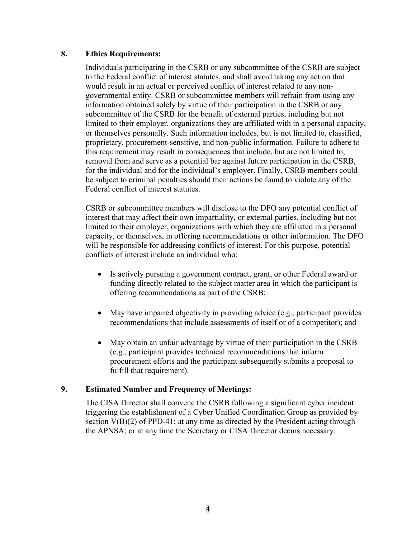## **8. Ethics Requirements:**

Individuals participating in the CSRB or any subcommittee of the CSRB are subject to the Federal conflict of interest statutes, and shall avoid taking any action that would result in an actual or perceived conflict of interest related to any nongovernmental entity. CSRB or subcommittee members will refrain from using any information obtained solely by virtue of their participation in the CSRB or any subcommittee of the CSRB for the benefit of external parties, including but not limited to their employer, organizations they are affiliated with in a personal capacity, or themselves personally. Such information includes, but is not limited to, classified, proprietary, procurement-sensitive, and non-public information. Failure to adhere to this requirement may result in consequences that include, but are not limited to, removal from and serve as a potential bar against future participation in the CSRB, for the individual and for the individual's employer. Finally, CSRB members could be subject to criminal penalties should their actions be found to violate any of the Federal conflict of interest statutes.

CSRB or subcommittee members will disclose to the DFO any potential conflict of interest that may affect their own impartiality, or external parties, including but not limited to their employer, organizations with which they are affiliated in a personal capacity, or themselves, in offering recommendations or other information. The DFO will be responsible for addressing conflicts of interest. For this purpose, potential conflicts of interest include an individual who:

- Is actively pursuing a government contract, grant, or other Federal award or funding directly related to the subject matter area in which the participant is offering recommendations as part of the CSRB;
- May have impaired objectivity in providing advice (e.g., participant provides recommendations that include assessments of itself or of a competitor); and
- May obtain an unfair advantage by virtue of their participation in the CSRB (e.g., participant provides technical recommendations that inform procurement efforts and the participant subsequently submits a proposal to fulfill that requirement).

# **9. Estimated Number and Frequency of Meetings:**

The CISA Director shall convene the CSRB following a significant cyber incident triggering the establishment of a Cyber Unified Coordination Group as provided by section  $V(B)(2)$  of PPD-41; at any time as directed by the President acting through the APNSA; or at any time the Secretary or CISA Director deems necessary.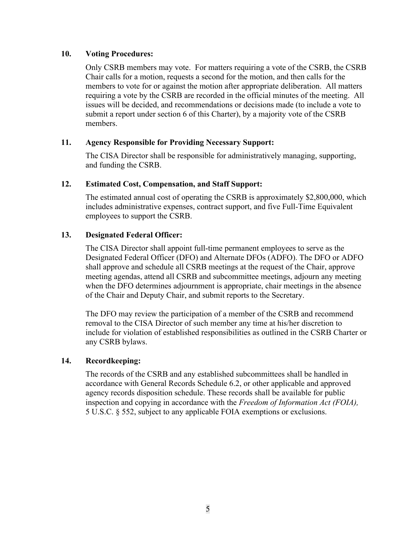# **10. Voting Procedures:**

Only CSRB members may vote. For matters requiring a vote of the CSRB, the CSRB Chair calls for a motion, requests a second for the motion, and then calls for the members to vote for or against the motion after appropriate deliberation. All matters requiring a vote by the CSRB are recorded in the official minutes of the meeting. All issues will be decided, and recommendations or decisions made (to include a vote to submit a report under section 6 of this Charter), by a majority vote of the CSRB members.

# **11. Agency Responsible for Providing Necessary Support:**

The CISA Director shall be responsible for administratively managing, supporting, and funding the CSRB.

# **12. Estimated Cost, Compensation, and Staff Support:**

The estimated annual cost of operating the CSRB is approximately \$2,800,000, which includes administrative expenses, contract support, and five Full-Time Equivalent employees to support the CSRB.

# **13. Designated Federal Officer:**

The CISA Director shall appoint full-time permanent employees to serve as the Designated Federal Officer (DFO) and Alternate DFOs (ADFO). The DFO or ADFO shall approve and schedule all CSRB meetings at the request of the Chair, approve meeting agendas, attend all CSRB and subcommittee meetings, adjourn any meeting when the DFO determines adjournment is appropriate, chair meetings in the absence of the Chair and Deputy Chair, and submit reports to the Secretary.

The DFO may review the participation of a member of the CSRB and recommend removal to the CISA Director of such member any time at his/her discretion to include for violation of established responsibilities as outlined in the CSRB Charter or any CSRB bylaws.

### **14. Recordkeeping:**

The records of the CSRB and any established subcommittees shall be handled in accordance with General Records Schedule 6.2, or other applicable and approved agency records disposition schedule. These records shall be available for public inspection and copying in accordance with the *Freedom of Information Act (FOIA),* 5 U.S.C. § 552, subject to any applicable FOIA exemptions or exclusions.